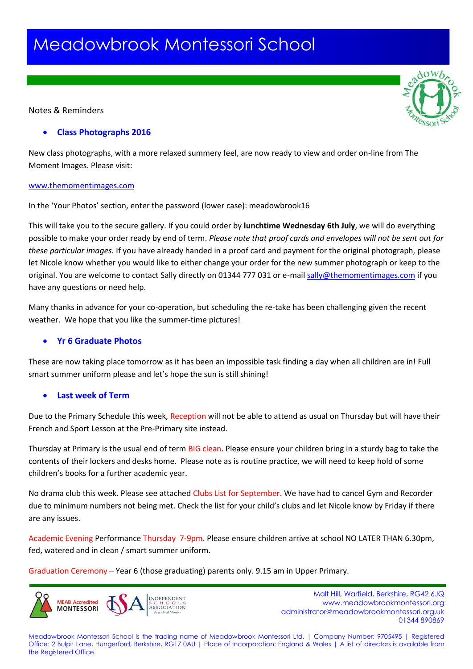# Meadowbrook Montessori School

## Notes & Reminders

## **Class Photographs 2016**

New class photographs, with a more relaxed summery feel, are now ready to view and order on-line from The Moment Images. Please visit:

#### [www.themomentimages.com](http://www.themomentimages.com/)

In the 'Your Photos' section, enter the password (lower case): meadowbrook16

This will take you to the secure gallery. If you could order by **lunchtime Wednesday 6th July**, we will do everything possible to make your order ready by end of term. *Please note that proof cards and envelopes will not be sent out for these particular images.* If you have already handed in a proof card and payment for the original photograph, please let Nicole know whether you would like to either change your order for the new summer photograph or keep to the original. You are welcome to contact Sally directly on 01344 777 031 or e-mai[l sally@themomentimages.com](mailto:sally@themomentimages.com) if you have any questions or need help.

Many thanks in advance for your co-operation, but scheduling the re-take has been challenging given the recent weather. We hope that you like the summer-time pictures!

### **Yr 6 Graduate Photos**

These are now taking place tomorrow as it has been an impossible task finding a day when all children are in! Full smart summer uniform please and let's hope the sun is still shining!

### **Last week of Term**

Due to the Primary Schedule this week, Reception will not be able to attend as usual on Thursday but will have their French and Sport Lesson at the Pre-Primary site instead.

Thursday at Primary is the usual end of term BIG clean. Please ensure your children bring in a sturdy bag to take the contents of their lockers and desks home. Please note as is routine practice, we will need to keep hold of some children's books for a further academic year.

No drama club this week. Please see attached Clubs List for September. We have had to cancel Gym and Recorder due to minimum numbers not being met. Check the list for your child's clubs and let Nicole know by Friday if there are any issues.

Academic Evening Performance Thursday 7-9pm. Please ensure children arrive at school NO LATER THAN 6.30pm, fed, watered and in clean / smart summer uniform.

Graduation Ceremony – Year 6 (those graduating) parents only. 9.15 am in Upper Primary.



 Malt Hill, Warfield, Berkshire, RG42 6JQ www.meadowbrookmontessori.org [administrator@meadowbrookmontessori.org.uk](mailto:administrator@meadowbrookmontessori.org.uk) 01344 890869

Meadowbrook Montessori School is the trading name of Meadowbrook Montessori Ltd. | Company Number: 9705495 | Registered Office: 2 Bulpit Lane, Hungerford, Berkshire, RG17 0AU | Place of Incorporation: England & Wales | A list of directors is available from the Registered Office.